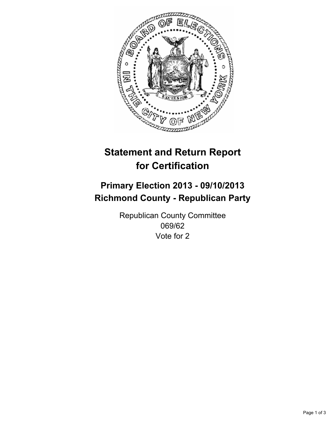

# **Statement and Return Report for Certification**

## **Primary Election 2013 - 09/10/2013 Richmond County - Republican Party**

Republican County Committee 069/62 Vote for 2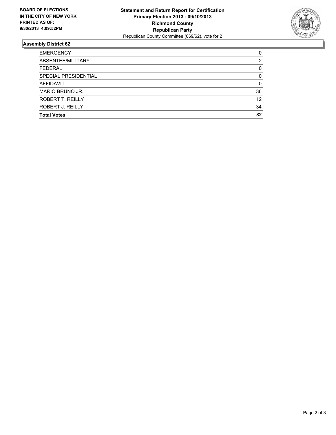

## **Assembly District 62**

| <b>EMERGENCY</b>     | 0  |
|----------------------|----|
| ABSENTEE/MILITARY    | 2  |
| <b>FEDERAL</b>       | 0  |
| SPECIAL PRESIDENTIAL | 0  |
| <b>AFFIDAVIT</b>     | 0  |
| MARIO BRUNO JR.      | 36 |
| ROBERT T. REILLY     | 12 |
| ROBERT J. REILLY     | 34 |
| <b>Total Votes</b>   | 82 |